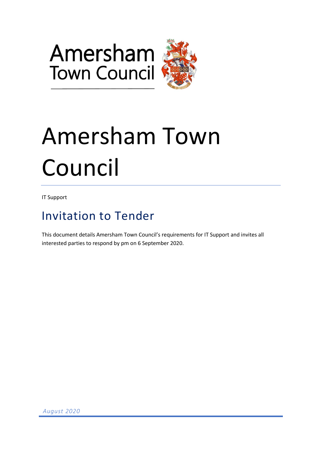



# Amersham Town Council

IT Support

## Invitation to Tender

This document details Amersham Town Council's requirements for IT Support and invites all interested parties to respond by pm on 6 September 2020.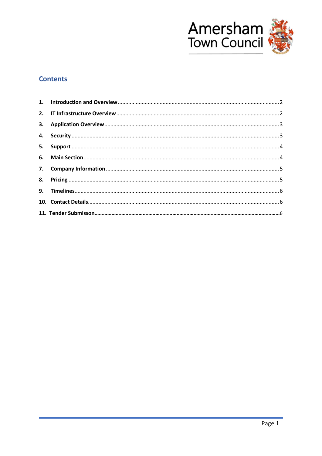

### **Contents**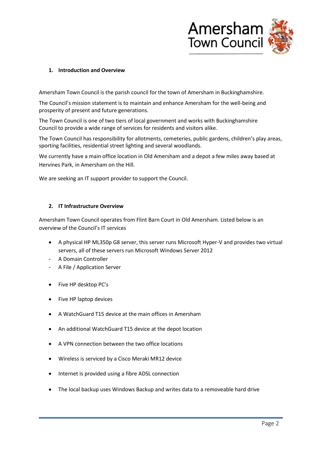

#### <span id="page-2-0"></span>**1. Introduction and Overview**

Amersham Town Council is the parish council for the town of Amersham in Buckinghamshire.

The Council's mission statement is to maintain and enhance Amersham for the well-being and prosperity of present and future generations.

The Town Council is one of two tiers of local government and works with Buckinghamshire Council to provide a wide range of services for residents and visitors alike.

The Town Council has responsibility for allotments, cemeteries, public gardens, children's play areas, sporting facilities, residential street lighting and several woodlands.

We currently have a main office location in Old Amersham and a depot a few miles away based at Hervines Park, in Amersham on the Hill.

We are seeking an IT support provider to support the Council.

#### <span id="page-2-1"></span>**2. IT Infrastructure Overview**

Amersham Town Council operates from Flint Barn Court in Old Amersham. Listed below is an overview of the Council's IT services

- A physical HP ML350p G8 server, this server runs Microsoft Hyper-V and provides two virtual servers, all of these servers run Microsoft Windows Server 2012
- A Domain Controller
- A File / Application Server
- Five HP desktop PC's
- Five HP laptop devices
- A WatchGuard T15 device at the main offices in Amersham
- An additional WatchGuard T15 device at the depot location
- A VPN connection between the two office locations
- Wireless is serviced by a Cisco Meraki MR12 device
- Internet is provided using a fibre ADSL connection
- The local backup uses Windows Backup and writes data to a removeable hard drive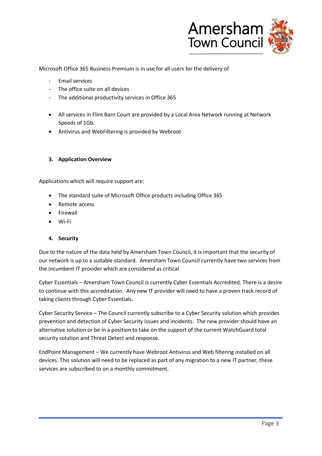

Microsoft Office 365 Business Premium is in use for all users for the delivery of

- Email services
- The office suite on all devices
- The additional productivity services in Office 365
- All services in Flint Barn Court are provided by a Local Area Network running at Network Speeds of 1Gb.
- Antivirus and WebFiltering is provided by Webroot

#### <span id="page-3-0"></span>**3. Application Overview**

Applications which will require support are:

- The standard suite of Microsoft Office products including Office 365
- Remote access
- Firewall
- Wi-Fi

#### <span id="page-3-1"></span>**4. Security**

Due to the nature of the data held by Amersham Town Council, it is important that the security of our network is up to a suitable standard. Amersham Town Council currently have two services from the incumbent IT provider which are considered as critical

Cyber Essentials – Amersham Town Council is currently Cyber Essentials Accredited. There is a desire to continue with this accreditation. Any new IT provider will need to have a proven track record of taking clients through Cyber Essentials.

Cyber Security Service – The Council currently subscribe to a Cyber Security solution which provides prevention and detection of Cyber Security issues and incidents. The new provider should have an alternative solution or be in a position to take on the support of the current WatchGuard total security solution and Threat Detect and response.

EndPoint Management – We currently have Webroot Antivirus and Web filtering installed on all devices. This solution will need to be replaced as part of any migration to a new IT partner, these services are subscribed to on a monthly commitment.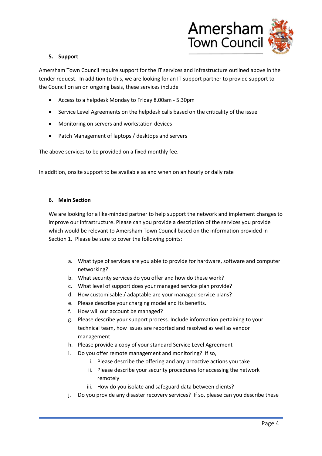

#### <span id="page-4-0"></span>**5. Support**

Amersham Town Council require support for the IT services and infrastructure outlined above in the tender request. In addition to this, we are looking for an IT support partner to provide support to the Council on an on ongoing basis, these services include

- Access to a helpdesk Monday to Friday 8.00am 5.30pm
- Service Level Agreements on the helpdesk calls based on the criticality of the issue
- Monitoring on servers and workstation devices
- Patch Management of laptops / desktops and servers

The above services to be provided on a fixed monthly fee.

In addition, onsite support to be available as and when on an hourly or daily rate

#### <span id="page-4-1"></span>**6. Main Section**

We are looking for a like-minded partner to help support the network and implement changes to improve our infrastructure. Please can you provide a description of the services you provide which would be relevant to Amersham Town Council based on the information provided in Section 1. Please be sure to cover the following points:

- a. What type of services are you able to provide for hardware, software and computer networking?
- b. What security services do you offer and how do these work?
- c. What level of support does your managed service plan provide?
- d. How customisable / adaptable are your managed service plans?
- e. Please describe your charging model and its benefits.
- f. How will our account be managed?
- g. Please describe your support process. Include information pertaining to your technical team, how issues are reported and resolved as well as vendor management
- h. Please provide a copy of your standard Service Level Agreement
- i. Do you offer remote management and monitoring? If so,
	- i. Please describe the offering and any proactive actions you take
	- ii. Please describe your security procedures for accessing the network remotely
	- iii. How do you isolate and safeguard data between clients?
- j. Do you provide any disaster recovery services? If so, please can you describe these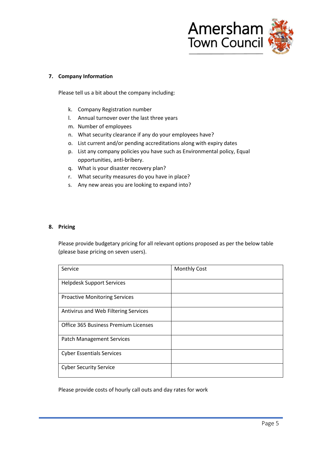

#### <span id="page-5-0"></span>**7. Company Information**

Please tell us a bit about the company including:

- k. Company Registration number
- l. Annual turnover over the last three years
- m. Number of employees
- n. What security clearance if any do your employees have?
- o. List current and/or pending accreditations along with expiry dates
- p. List any company policies you have such as Environmental policy, Equal opportunities, anti-bribery.
- q. What is your disaster recovery plan?
- r. What security measures do you have in place?
- s. Any new areas you are looking to expand into?

#### <span id="page-5-1"></span>**8. Pricing**

Please provide budgetary pricing for all relevant options proposed as per the below table (please base pricing on seven users).

| Service                              | <b>Monthly Cost</b> |
|--------------------------------------|---------------------|
| <b>Helpdesk Support Services</b>     |                     |
| <b>Proactive Monitoring Services</b> |                     |
| Antivirus and Web Filtering Services |                     |
| Office 365 Business Premium Licenses |                     |
| <b>Patch Management Services</b>     |                     |
| <b>Cyber Essentials Services</b>     |                     |
| <b>Cyber Security Service</b>        |                     |

Please provide costs of hourly call outs and day rates for work